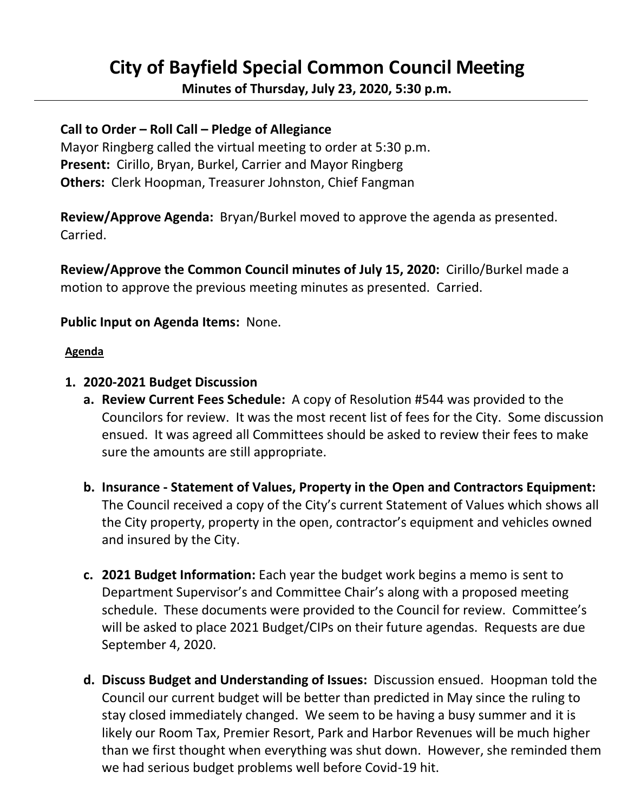# **City of Bayfield Special Common Council Meeting**

**Minutes of Thursday, July 23, 2020, 5:30 p.m.** 

## **Call to Order – Roll Call – Pledge of Allegiance**

 Mayor Ringberg called the virtual meeting to order at 5:30 p.m.  **Present:** Cirillo, Bryan, Burkel, Carrier and Mayor Ringberg  **Others:** Clerk Hoopman, Treasurer Johnston, Chief Fangman

 **Review/Approve Agenda:** Bryan/Burkel moved to approve the agenda as presented. Carried.

 **Review/Approve the Common Council minutes of July 15, 2020:** Cirillo/Burkel made a motion to approve the previous meeting minutes as presented. Carried.

### **Public Input on Agenda Items:** None.

#### **Agenda**

#### **1. 2020-2021 Budget Discussion**

- **a. Review Current Fees Schedule:** A copy of Resolution #544 was provided to the Councilors for review. It was the most recent list of fees for the City. Some discussion ensued. It was agreed all Committees should be asked to review their fees to make sure the amounts are still appropriate.
- **b. Insurance - Statement of Values, Property in the Open and Contractors Equipment:** The Council received a copy of the City's current Statement of Values which shows all the City property, property in the open, contractor's equipment and vehicles owned and insured by the City.
- **c. 2021 Budget Information:** Each year the budget work begins a memo is sent to Department Supervisor's and Committee Chair's along with a proposed meeting schedule. These documents were provided to the Council for review. Committee's will be asked to place 2021 Budget/CIPs on their future agendas. Requests are due September 4, 2020.
- **d. Discuss Budget and Understanding of Issues:** Discussion ensued. Hoopman told the Council our current budget will be better than predicted in May since the ruling to stay closed immediately changed. We seem to be having a busy summer and it is likely our Room Tax, Premier Resort, Park and Harbor Revenues will be much higher than we first thought when everything was shut down. However, she reminded them we had serious budget problems well before Covid-19 hit.